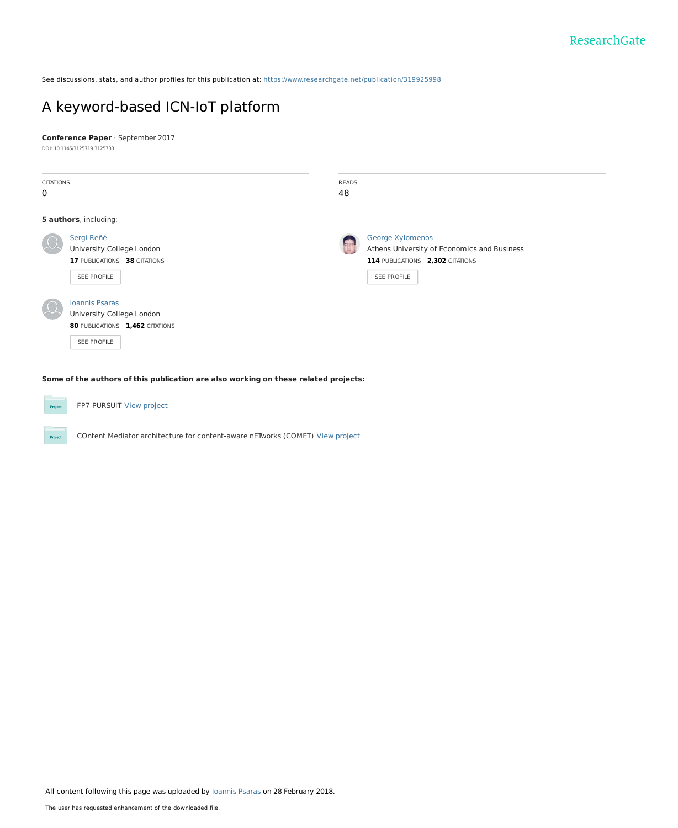See discussions, stats, and author profiles for this publication at: [https://www.researchgate.net/publication/319925998](https://www.researchgate.net/publication/319925998_A_keyword-based_ICN-IoT_platform?enrichId=rgreq-513af04cac1219225550bc73a84193dc-XXX&enrichSource=Y292ZXJQYWdlOzMxOTkyNTk5ODtBUzo1OTg5NzY4OTgyNzMyODFAMTUxOTgxODYyOTgxNg%3D%3D&el=1_x_2&_esc=publicationCoverPdf)

# A [keyword-based](https://www.researchgate.net/publication/319925998_A_keyword-based_ICN-IoT_platform?enrichId=rgreq-513af04cac1219225550bc73a84193dc-XXX&enrichSource=Y292ZXJQYWdlOzMxOTkyNTk5ODtBUzo1OTg5NzY4OTgyNzMyODFAMTUxOTgxODYyOTgxNg%3D%3D&el=1_x_3&_esc=publicationCoverPdf) ICN-IoT platform

**Conference Paper** · September 2017

DOI: 10.1145/3125719.3125733

| <b>CITATIONS</b><br>$\mathbf 0$ |                                                                                                      | <b>READS</b><br>48 |                                                                                                                    |
|---------------------------------|------------------------------------------------------------------------------------------------------|--------------------|--------------------------------------------------------------------------------------------------------------------|
|                                 | 5 authors, including:                                                                                |                    |                                                                                                                    |
|                                 | Sergi Reñé<br>University College London<br>17 PUBLICATIONS 38 CITATIONS<br>SEE PROFILE               | <b>A</b>           | George Xylomenos<br>Athens University of Economics and Business<br>114 PUBLICATIONS 2,302 CITATIONS<br>SEE PROFILE |
|                                 | <b>Ioannis Psaras</b><br>University College London<br>80 PUBLICATIONS 1,462 CITATIONS<br>SEE PROFILE |                    |                                                                                                                    |

**Some of the authors of this publication are also working on these related projects:**

| Project |  |
|---------|--|
|         |  |

Project

FP7-PURSUIT View [project](https://www.researchgate.net/project/FP7-PURSUIT?enrichId=rgreq-513af04cac1219225550bc73a84193dc-XXX&enrichSource=Y292ZXJQYWdlOzMxOTkyNTk5ODtBUzo1OTg5NzY4OTgyNzMyODFAMTUxOTgxODYyOTgxNg%3D%3D&el=1_x_9&_esc=publicationCoverPdf)

COntent Mediator architecture for content-aware nETworks (COMET) View [project](https://www.researchgate.net/project/COntent-Mediator-architecture-for-content-aware-nETworks-COMET?enrichId=rgreq-513af04cac1219225550bc73a84193dc-XXX&enrichSource=Y292ZXJQYWdlOzMxOTkyNTk5ODtBUzo1OTg5NzY4OTgyNzMyODFAMTUxOTgxODYyOTgxNg%3D%3D&el=1_x_9&_esc=publicationCoverPdf)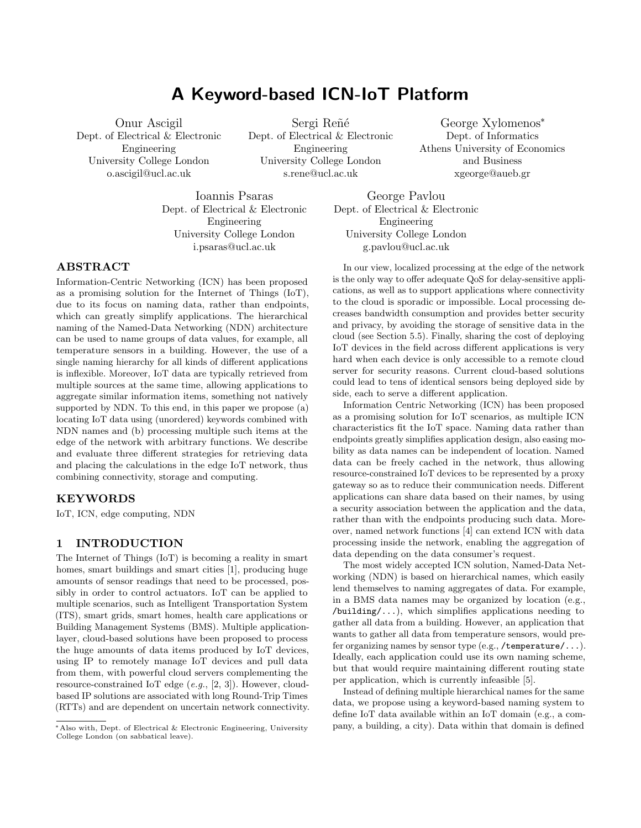# A Keyword-based ICN-IoT Platform

Onur Ascigil Dept. of Electrical & Electronic Engineering University College London o.ascigil@ucl.ac.uk

Sergi Reñé Dept. of Electrical & Electronic Engineering University College London s.rene@ucl.ac.uk

George Xylomenos\* Dept. of Informatics Athens University of Economics and Business xgeorge@aueb.gr

Ioannis Psaras Dept. of Electrical & Electronic Engineering University College London i.psaras@ucl.ac.uk

George Pavlou Dept. of Electrical & Electronic Engineering University College London g.pavlou@ucl.ac.uk

# ABSTRACT

Information-Centric Networking (ICN) has been proposed as a promising solution for the Internet of Things (IoT), due to its focus on naming data, rather than endpoints, which can greatly simplify applications. The hierarchical naming of the Named-Data Networking (NDN) architecture can be used to name groups of data values, for example, all temperature sensors in a building. However, the use of a single naming hierarchy for all kinds of different applications is inflexible. Moreover, IoT data are typically retrieved from multiple sources at the same time, allowing applications to aggregate similar information items, something not natively supported by NDN. To this end, in this paper we propose (a) locating IoT data using (unordered) keywords combined with NDN names and (b) processing multiple such items at the edge of the network with arbitrary functions. We describe and evaluate three different strategies for retrieving data and placing the calculations in the edge IoT network, thus combining connectivity, storage and computing.

# KEYWORDS

IoT, ICN, edge computing, NDN

## 1 INTRODUCTION

The Internet of Things (IoT) is becoming a reality in smart homes, smart buildings and smart cities [\[1\]](#page-7-0), producing huge amounts of sensor readings that need to be processed, possibly in order to control actuators. IoT can be applied to multiple scenarios, such as Intelligent Transportation System (ITS), smart grids, smart homes, health care applications or Building Management Systems (BMS). Multiple applicationlayer, cloud-based solutions have been proposed to process the huge amounts of data items produced by IoT devices, using IP to remotely manage IoT devices and pull data from them, with powerful cloud servers complementing the resource-constrained IoT edge  $(e.g., [2, 3])$  $(e.g., [2, 3])$  $(e.g., [2, 3])$  $(e.g., [2, 3])$  $(e.g., [2, 3])$ . However, cloudbased IP solutions are associated with long Round-Trip Times (RTTs) and are dependent on uncertain network connectivity.

In our view, localized processing at the edge of the network is the only way to offer adequate QoS for delay-sensitive applications, as well as to support applications where connectivity to the cloud is sporadic or impossible. Local processing decreases bandwidth consumption and provides better security and privacy, by avoiding the storage of sensitive data in the cloud (see Section [5.5\)](#page-6-0). Finally, sharing the cost of deploying IoT devices in the field across different applications is very hard when each device is only accessible to a remote cloud server for security reasons. Current cloud-based solutions could lead to tens of identical sensors being deployed side by side, each to serve a different application.

Information Centric Networking (ICN) has been proposed as a promising solution for IoT scenarios, as multiple ICN characteristics fit the IoT space. Naming data rather than endpoints greatly simplifies application design, also easing mobility as data names can be independent of location. Named data can be freely cached in the network, thus allowing resource-constrained IoT devices to be represented by a proxy gateway so as to reduce their communication needs. Different applications can share data based on their names, by using a security association between the application and the data, rather than with the endpoints producing such data. Moreover, named network functions [\[4\]](#page-7-3) can extend ICN with data processing inside the network, enabling the aggregation of data depending on the data consumer's request.

The most widely accepted ICN solution, Named-Data Networking (NDN) is based on hierarchical names, which easily lend themselves to naming aggregates of data. For example, in a BMS data names may be organized by location (e.g., /building/...), which simplifies applications needing to gather all data from a building. However, an application that wants to gather all data from temperature sensors, would prefer organizing names by sensor type (e.g., /temperature/...). Ideally, each application could use its own naming scheme, but that would require maintaining different routing state per application, which is currently infeasible [\[5\]](#page-7-4).

Instead of defining multiple hierarchical names for the same data, we propose using a keyword-based naming system to define IoT data available within an IoT domain (e.g., a company, a building, a city). Data within that domain is defined

<sup>\*</sup>Also with, Dept. of Electrical & Electronic Engineering, University College London (on sabbatical leave).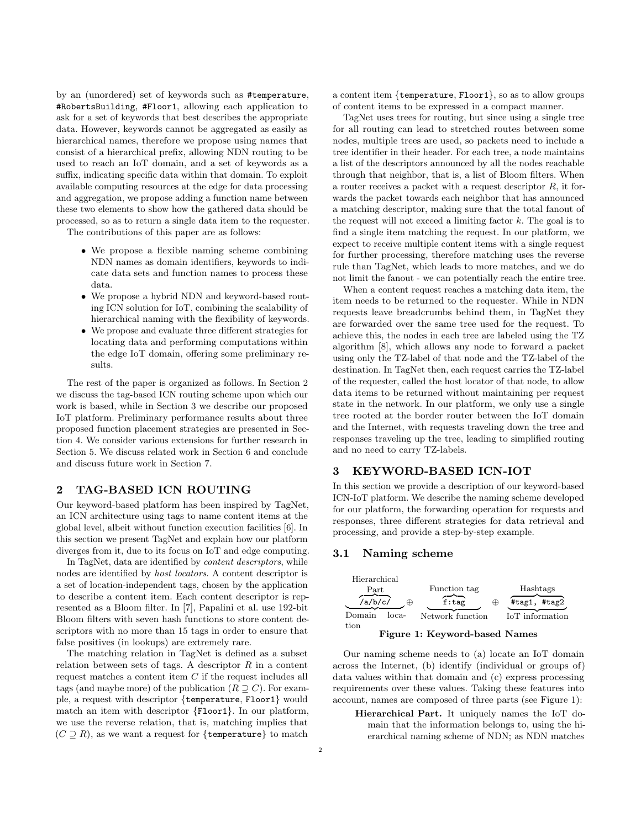by an (unordered) set of keywords such as #temperature, #RobertsBuilding, #Floor1, allowing each application to ask for a set of keywords that best describes the appropriate data. However, keywords cannot be aggregated as easily as hierarchical names, therefore we propose using names that consist of a hierarchical prefix, allowing NDN routing to be used to reach an IoT domain, and a set of keywords as a suffix, indicating specific data within that domain. To exploit available computing resources at the edge for data processing and aggregation, we propose adding a function name between these two elements to show how the gathered data should be processed, so as to return a single data item to the requester.

The contributions of this paper are as follows:

- ∙ We propose a flexible naming scheme combining NDN names as domain identifiers, keywords to indicate data sets and function names to process these data.
- ∙ We propose a hybrid NDN and keyword-based routing ICN solution for IoT, combining the scalability of hierarchical naming with the flexibility of keywords.
- ∙ We propose and evaluate three different strategies for locating data and performing computations within the edge IoT domain, offering some preliminary results.

The rest of the paper is organized as follows. In Section [2](#page-2-0) we discuss the tag-based ICN routing scheme upon which our work is based, while in Section [3](#page-2-1) we describe our proposed IoT platform. Preliminary performance results about three proposed function placement strategies are presented in Section [4.](#page-4-0) We consider various extensions for further research in Section [5.](#page-5-0) We discuss related work in Section [6](#page-7-5) and conclude and discuss future work in Section [7.](#page-7-6)

# <span id="page-2-0"></span>2 TAG-BASED ICN ROUTING

Our keyword-based platform has been inspired by TagNet, an ICN architecture using tags to name content items at the global level, albeit without function execution facilities [\[6\]](#page-7-7). In this section we present TagNet and explain how our platform diverges from it, due to its focus on IoT and edge computing.

In TagNet, data are identified by content descriptors, while nodes are identified by host locators. A content descriptor is a set of location-independent tags, chosen by the application to describe a content item. Each content descriptor is represented as a Bloom filter. In [\[7\]](#page-7-8), Papalini et al. use 192-bit Bloom filters with seven hash functions to store content descriptors with no more than 15 tags in order to ensure that false positives (in lookups) are extremely rare.

The matching relation in TagNet is defined as a subset relation between sets of tags. A descriptor  $R$  in a content request matches a content item  $C$  if the request includes all tags (and maybe more) of the publication  $(R \supseteq C)$ . For example, a request with descriptor {temperature, Floor1} would match an item with descriptor {Floor1}. In our platform, we use the reverse relation, that is, matching implies that  $(C \supset R)$ , as we want a request for {temperature} to match

a content item {temperature, Floor1}, so as to allow groups of content items to be expressed in a compact manner.

TagNet uses trees for routing, but since using a single tree for all routing can lead to stretched routes between some nodes, multiple trees are used, so packets need to include a tree identifier in their header. For each tree, a node maintains a list of the descriptors announced by all the nodes reachable through that neighbor, that is, a list of Bloom filters. When a router receives a packet with a request descriptor  $R$ , it forwards the packet towards each neighbor that has announced a matching descriptor, making sure that the total fanout of the request will not exceed a limiting factor  $k$ . The goal is to find a single item matching the request. In our platform, we expect to receive multiple content items with a single request for further processing, therefore matching uses the reverse rule than TagNet, which leads to more matches, and we do not limit the fanout - we can potentially reach the entire tree.

When a content request reaches a matching data item, the item needs to be returned to the requester. While in NDN requests leave breadcrumbs behind them, in TagNet they are forwarded over the same tree used for the request. To achieve this, the nodes in each tree are labeled using the TZ algorithm [\[8\]](#page-7-9), which allows any node to forward a packet using only the TZ-label of that node and the TZ-label of the destination. In TagNet then, each request carries the TZ-label of the requester, called the host locator of that node, to allow data items to be returned without maintaining per request state in the network. In our platform, we only use a single tree rooted at the border router between the IoT domain and the Internet, with requests traveling down the tree and responses traveling up the tree, leading to simplified routing and no need to carry TZ-labels.

# <span id="page-2-1"></span>3 KEYWORD-BASED ICN-IOT

In this section we provide a description of our keyword-based ICN-IoT platform. We describe the naming scheme developed for our platform, the forwarding operation for requests and responses, three different strategies for data retrieval and processing, and provide a step-by-step example.

### 3.1 Naming scheme

<span id="page-2-2"></span>

Our naming scheme needs to (a) locate an IoT domain across the Internet, (b) identify (individual or groups of) data values within that domain and (c) express processing requirements over these values. Taking these features into account, names are composed of three parts (see Figure [1\)](#page-2-2):

Hierarchical Part. It uniquely names the IoT domain that the information belongs to, using the hierarchical naming scheme of NDN; as NDN matches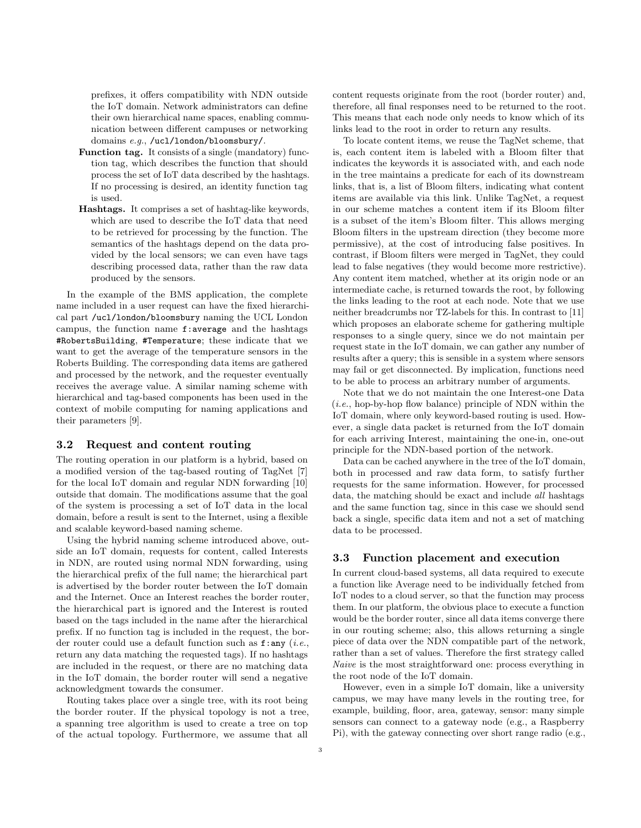prefixes, it offers compatibility with NDN outside the IoT domain. Network administrators can define their own hierarchical name spaces, enabling communication between different campuses or networking domains e.g., /ucl/london/bloomsbury/.

- Function tag. It consists of a single (mandatory) function tag, which describes the function that should process the set of IoT data described by the hashtags. If no processing is desired, an identity function tag is used.
- Hashtags. It comprises a set of hashtag-like keywords, which are used to describe the IoT data that need to be retrieved for processing by the function. The semantics of the hashtags depend on the data provided by the local sensors; we can even have tags describing processed data, rather than the raw data produced by the sensors.

In the example of the BMS application, the complete name included in a user request can have the fixed hierarchical part /ucl/london/bloomsbury naming the UCL London campus, the function name f:average and the hashtags #RobertsBuilding, #Temperature; these indicate that we want to get the average of the temperature sensors in the Roberts Building. The corresponding data items are gathered and processed by the network, and the requester eventually receives the average value. A similar naming scheme with hierarchical and tag-based components has been used in the context of mobile computing for naming applications and their parameters [\[9\]](#page-7-10).

### 3.2 Request and content routing

The routing operation in our platform is a hybrid, based on a modified version of the tag-based routing of TagNet [\[7\]](#page-7-8) for the local IoT domain and regular NDN forwarding [\[10\]](#page-7-11) outside that domain. The modifications assume that the goal of the system is processing a set of IoT data in the local domain, before a result is sent to the Internet, using a flexible and scalable keyword-based naming scheme.

Using the hybrid naming scheme introduced above, outside an IoT domain, requests for content, called Interests in NDN, are routed using normal NDN forwarding, using the hierarchical prefix of the full name; the hierarchical part is advertised by the border router between the IoT domain and the Internet. Once an Interest reaches the border router, the hierarchical part is ignored and the Interest is routed based on the tags included in the name after the hierarchical prefix. If no function tag is included in the request, the border router could use a default function such as  $f:any (i.e.,$ return any data matching the requested tags). If no hashtags are included in the request, or there are no matching data in the IoT domain, the border router will send a negative acknowledgment towards the consumer.

Routing takes place over a single tree, with its root being the border router. If the physical topology is not a tree, a spanning tree algorithm is used to create a tree on top of the actual topology. Furthermore, we assume that all

content requests originate from the root (border router) and, therefore, all final responses need to be returned to the root. This means that each node only needs to know which of its links lead to the root in order to return any results.

To locate content items, we reuse the TagNet scheme, that is, each content item is labeled with a Bloom filter that indicates the keywords it is associated with, and each node in the tree maintains a predicate for each of its downstream links, that is, a list of Bloom filters, indicating what content items are available via this link. Unlike TagNet, a request in our scheme matches a content item if its Bloom filter is a subset of the item's Bloom filter. This allows merging Bloom filters in the upstream direction (they become more permissive), at the cost of introducing false positives. In contrast, if Bloom filters were merged in TagNet, they could lead to false negatives (they would become more restrictive). Any content item matched, whether at its origin node or an intermediate cache, is returned towards the root, by following the links leading to the root at each node. Note that we use neither breadcrumbs nor TZ-labels for this. In contrast to [\[11\]](#page-7-12) which proposes an elaborate scheme for gathering multiple responses to a single query, since we do not maintain per request state in the IoT domain, we can gather any number of results after a query; this is sensible in a system where sensors may fail or get disconnected. By implication, functions need to be able to process an arbitrary number of arguments.

Note that we do not maintain the one Interest-one Data  $(i.e., hop-by-hop flow balance)$  principle of NDN within the IoT domain, where only keyword-based routing is used. However, a single data packet is returned from the IoT domain for each arriving Interest, maintaining the one-in, one-out principle for the NDN-based portion of the network.

Data can be cached anywhere in the tree of the IoT domain, both in processed and raw data form, to satisfy further requests for the same information. However, for processed data, the matching should be exact and include all hashtags and the same function tag, since in this case we should send back a single, specific data item and not a set of matching data to be processed.

### <span id="page-3-0"></span>3.3 Function placement and execution

In current cloud-based systems, all data required to execute a function like Average need to be individually fetched from IoT nodes to a cloud server, so that the function may process them. In our platform, the obvious place to execute a function would be the border router, since all data items converge there in our routing scheme; also, this allows returning a single piece of data over the NDN compatible part of the network, rather than a set of values. Therefore the first strategy called Naive is the most straightforward one: process everything in the root node of the IoT domain.

However, even in a simple IoT domain, like a university campus, we may have many levels in the routing tree, for example, building, floor, area, gateway, sensor: many simple sensors can connect to a gateway node (e.g., a Raspberry Pi), with the gateway connecting over short range radio (e.g.,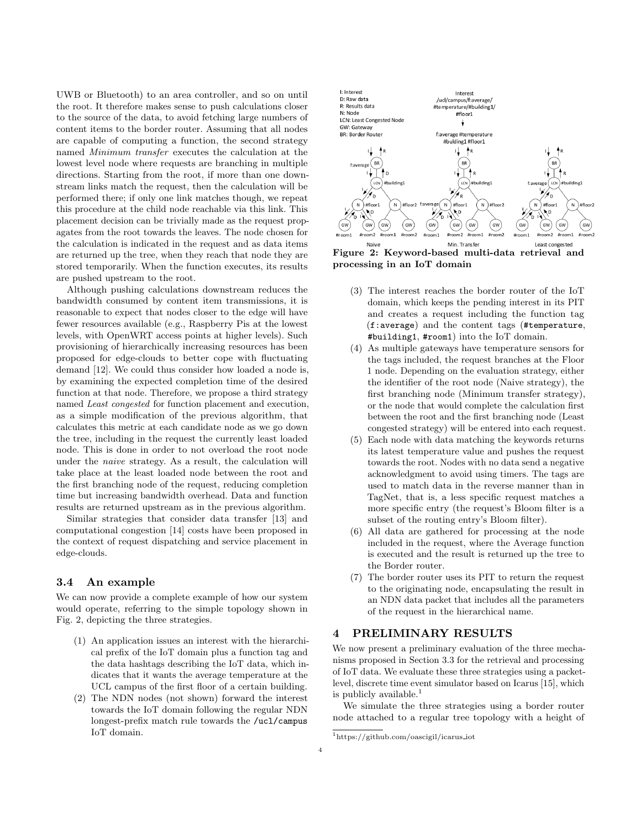UWB or Bluetooth) to an area controller, and so on until the root. It therefore makes sense to push calculations closer to the source of the data, to avoid fetching large numbers of content items to the border router. Assuming that all nodes are capable of computing a function, the second strategy named Minimum transfer executes the calculation at the lowest level node where requests are branching in multiple directions. Starting from the root, if more than one downstream links match the request, then the calculation will be performed there; if only one link matches though, we repeat this procedure at the child node reachable via this link. This placement decision can be trivially made as the request propagates from the root towards the leaves. The node chosen for the calculation is indicated in the request and as data items are returned up the tree, when they reach that node they are stored temporarily. When the function executes, its results are pushed upstream to the root.

Although pushing calculations downstream reduces the bandwidth consumed by content item transmissions, it is reasonable to expect that nodes closer to the edge will have fewer resources available (e.g., Raspberry Pis at the lowest levels, with OpenWRT access points at higher levels). Such provisioning of hierarchically increasing resources has been proposed for edge-clouds to better cope with fluctuating demand [\[12\]](#page-7-13). We could thus consider how loaded a node is, by examining the expected completion time of the desired function at that node. Therefore, we propose a third strategy named Least congested for function placement and execution, as a simple modification of the previous algorithm, that calculates this metric at each candidate node as we go down the tree, including in the request the currently least loaded node. This is done in order to not overload the root node under the naive strategy. As a result, the calculation will take place at the least loaded node between the root and the first branching node of the request, reducing completion time but increasing bandwidth overhead. Data and function results are returned upstream as in the previous algorithm.

Similar strategies that consider data transfer [\[13\]](#page-8-0) and computational congestion [\[14\]](#page-8-1) costs have been proposed in the context of request dispatching and service placement in edge-clouds.

### 3.4 An example

We can now provide a complete example of how our system would operate, referring to the simple topology shown in Fig. [2,](#page-4-1) depicting the three strategies.

- (1) An application issues an interest with the hierarchical prefix of the IoT domain plus a function tag and the data hashtags describing the IoT data, which indicates that it wants the average temperature at the UCL campus of the first floor of a certain building.
- (2) The NDN nodes (not shown) forward the interest towards the IoT domain following the regular NDN longest-prefix match rule towards the /ucl/campus IoT domain.

<span id="page-4-1"></span>

Figure 2: Keyword-based multi-data retrieval and processing in an IoT domain

- (3) The interest reaches the border router of the IoT domain, which keeps the pending interest in its PIT and creates a request including the function tag (f:average) and the content tags (#temperature, #building1, #room1) into the IoT domain.
- (4) As multiple gateways have temperature sensors for the tags included, the request branches at the Floor 1 node. Depending on the evaluation strategy, either the identifier of the root node (Naive strategy), the first branching node (Minimum transfer strategy), or the node that would complete the calculation first between the root and the first branching node (Least congested strategy) will be entered into each request.
- (5) Each node with data matching the keywords returns its latest temperature value and pushes the request towards the root. Nodes with no data send a negative acknowledgment to avoid using timers. The tags are used to match data in the reverse manner than in TagNet, that is, a less specific request matches a more specific entry (the request's Bloom filter is a subset of the routing entry's Bloom filter).
- (6) All data are gathered for processing at the node included in the request, where the Average function is executed and the result is returned up the tree to the Border router.
- (7) The border router uses its PIT to return the request to the originating node, encapsulating the result in an NDN data packet that includes all the parameters of the request in the hierarchical name.

### <span id="page-4-0"></span>4 PRELIMINARY RESULTS

We now present a preliminary evaluation of the three mechanisms proposed in Section [3.3](#page-3-0) for the retrieval and processing of IoT data. We evaluate these three strategies using a packetlevel, discrete time event simulator based on Icarus [\[15\]](#page-8-2), which is publicly available. $<sup>1</sup>$  $<sup>1</sup>$  $<sup>1</sup>$ </sup>

We simulate the three strategies using a border router node attached to a regular tree topology with a height of

<span id="page-4-2"></span><sup>1</sup>[https://github.com/oascigil/icarus](https://github.com/oascigil/icarus_iot) iot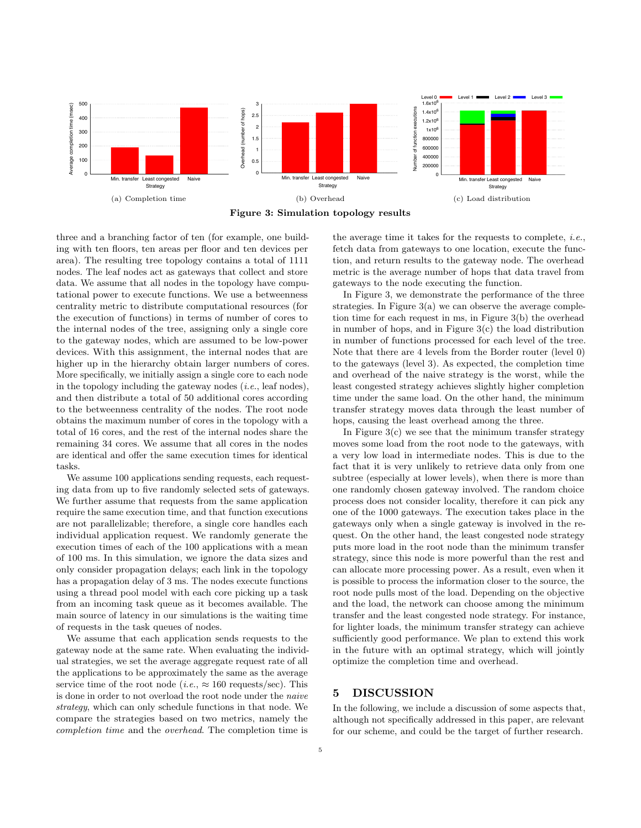<span id="page-5-2"></span><span id="page-5-1"></span>

<span id="page-5-3"></span>Figure 3: Simulation topology results

three and a branching factor of ten (for example, one building with ten floors, ten areas per floor and ten devices per area). The resulting tree topology contains a total of 1111 nodes. The leaf nodes act as gateways that collect and store data. We assume that all nodes in the topology have computational power to execute functions. We use a betweenness centrality metric to distribute computational resources (for the execution of functions) in terms of number of cores to the internal nodes of the tree, assigning only a single core to the gateway nodes, which are assumed to be low-power devices. With this assignment, the internal nodes that are higher up in the hierarchy obtain larger numbers of cores. More specifically, we initially assign a single core to each node in the topology including the gateway nodes  $(i.e.,$  leaf nodes), and then distribute a total of 50 additional cores according to the betweenness centrality of the nodes. The root node obtains the maximum number of cores in the topology with a total of 16 cores, and the rest of the internal nodes share the remaining 34 cores. We assume that all cores in the nodes are identical and offer the same execution times for identical tasks.

We assume 100 applications sending requests, each requesting data from up to five randomly selected sets of gateways. We further assume that requests from the same application require the same execution time, and that function executions are not parallelizable; therefore, a single core handles each individual application request. We randomly generate the execution times of each of the 100 applications with a mean of 100 ms. In this simulation, we ignore the data sizes and only consider propagation delays; each link in the topology has a propagation delay of 3 ms. The nodes execute functions using a thread pool model with each core picking up a task from an incoming task queue as it becomes available. The main source of latency in our simulations is the waiting time of requests in the task queues of nodes.

We assume that each application sends requests to the gateway node at the same rate. When evaluating the individual strategies, we set the average aggregate request rate of all the applications to be approximately the same as the average service time of the root node (*i.e.*,  $\approx 160$  requests/sec). This is done in order to not overload the root node under the *naive* strategy, which can only schedule functions in that node. We compare the strategies based on two metrics, namely the *completion time* and the *overhead*. The completion time is <span id="page-5-4"></span>the average time it takes for the requests to complete, *i.e.*, fetch data from gateways to one location, execute the function, and return results to the gateway node. The overhead metric is the average number of hops that data travel from gateways to the node executing the function.

In Figure 3, we demonstrate the performance of the three strategies. In Figure  $3(a)$  we can observe the average completion time for each request in ms, in Figure  $3(b)$  the overhead in number of hops, and in Figure  $3(c)$  the load distribution in number of functions processed for each level of the tree. Note that there are 4 levels from the Border router (level 0) to the gateways (level 3). As expected, the completion time and overhead of the naive strategy is the worst, while the least congested strategy achieves slightly higher completion time under the same load. On the other hand, the minimum transfer strategy moves data through the least number of hops, causing the least overhead among the three.

In Figure  $3(c)$  we see that the minimum transfer strategy moves some load from the root node to the gateways, with a very low load in intermediate nodes. This is due to the fact that it is very unlikely to retrieve data only from one subtree (especially at lower levels), when there is more than one randomly chosen gateway involved. The random choice process does not consider locality, therefore it can pick any one of the 1000 gateways. The execution takes place in the gateways only when a single gateway is involved in the request. On the other hand, the least congested node strategy puts more load in the root node than the minimum transfer strategy, since this node is more powerful than the rest and can allocate more processing power. As a result, even when it is possible to process the information closer to the source, the root node pulls most of the load. Depending on the objective and the load, the network can choose among the minimum transfer and the least congested node strategy. For instance, for lighter loads, the minimum transfer strategy can achieve sufficiently good performance. We plan to extend this work in the future with an optimal strategy, which will jointly optimize the completion time and overhead.

#### <span id="page-5-0"></span>**DISCUSSION** 5

In the following, we include a discussion of some aspects that, although not specifically addressed in this paper, are relevant for our scheme, and could be the target of further research.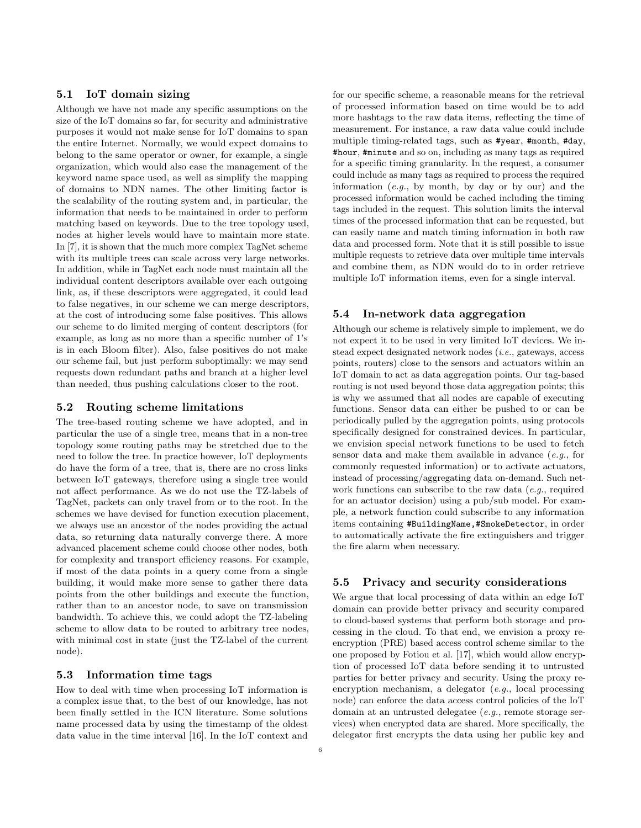# 5.1 IoT domain sizing

Although we have not made any specific assumptions on the size of the IoT domains so far, for security and administrative purposes it would not make sense for IoT domains to span the entire Internet. Normally, we would expect domains to belong to the same operator or owner, for example, a single organization, which would also ease the management of the keyword name space used, as well as simplify the mapping of domains to NDN names. The other limiting factor is the scalability of the routing system and, in particular, the information that needs to be maintained in order to perform matching based on keywords. Due to the tree topology used, nodes at higher levels would have to maintain more state. In [\[7\]](#page-7-8), it is shown that the much more complex TagNet scheme with its multiple trees can scale across very large networks. In addition, while in TagNet each node must maintain all the individual content descriptors available over each outgoing link, as, if these descriptors were aggregated, it could lead to false negatives, in our scheme we can merge descriptors, at the cost of introducing some false positives. This allows our scheme to do limited merging of content descriptors (for example, as long as no more than a specific number of 1's is in each Bloom filter). Also, false positives do not make our scheme fail, but just perform suboptimally: we may send requests down redundant paths and branch at a higher level than needed, thus pushing calculations closer to the root.

# 5.2 Routing scheme limitations

The tree-based routing scheme we have adopted, and in particular the use of a single tree, means that in a non-tree topology some routing paths may be stretched due to the need to follow the tree. In practice however, IoT deployments do have the form of a tree, that is, there are no cross links between IoT gateways, therefore using a single tree would not affect performance. As we do not use the TZ-labels of TagNet, packets can only travel from or to the root. In the schemes we have devised for function execution placement, we always use an ancestor of the nodes providing the actual data, so returning data naturally converge there. A more advanced placement scheme could choose other nodes, both for complexity and transport efficiency reasons. For example, if most of the data points in a query come from a single building, it would make more sense to gather there data points from the other buildings and execute the function, rather than to an ancestor node, to save on transmission bandwidth. To achieve this, we could adopt the TZ-labeling scheme to allow data to be routed to arbitrary tree nodes, with minimal cost in state (just the TZ-label of the current node).

### 5.3 Information time tags

How to deal with time when processing IoT information is a complex issue that, to the best of our knowledge, has not been finally settled in the ICN literature. Some solutions name processed data by using the timestamp of the oldest data value in the time interval [\[16\]](#page-8-3). In the IoT context and for our specific scheme, a reasonable means for the retrieval of processed information based on time would be to add more hashtags to the raw data items, reflecting the time of measurement. For instance, a raw data value could include multiple timing-related tags, such as #year, #month, #day, #hour, #minute and so on, including as many tags as required for a specific timing granularity. In the request, a consumer could include as many tags as required to process the required information  $(e.g., by month, by day or by our)$  and the processed information would be cached including the timing tags included in the request. This solution limits the interval times of the processed information that can be requested, but can easily name and match timing information in both raw data and processed form. Note that it is still possible to issue multiple requests to retrieve data over multiple time intervals and combine them, as NDN would do to in order retrieve multiple IoT information items, even for a single interval.

### 5.4 In-network data aggregation

Although our scheme is relatively simple to implement, we do not expect it to be used in very limited IoT devices. We instead expect designated network nodes (i.e., gateways, access points, routers) close to the sensors and actuators within an IoT domain to act as data aggregation points. Our tag-based routing is not used beyond those data aggregation points; this is why we assumed that all nodes are capable of executing functions. Sensor data can either be pushed to or can be periodically pulled by the aggregation points, using protocols specifically designed for constrained devices. In particular, we envision special network functions to be used to fetch sensor data and make them available in advance (e.g., for commonly requested information) or to activate actuators, instead of processing/aggregating data on-demand. Such network functions can subscribe to the raw data (e.g., required for an actuator decision) using a pub/sub model. For example, a network function could subscribe to any information items containing #BuildingName,#SmokeDetector, in order to automatically activate the fire extinguishers and trigger the fire alarm when necessary.

### <span id="page-6-0"></span>5.5 Privacy and security considerations

We argue that local processing of data within an edge IoT domain can provide better privacy and security compared to cloud-based systems that perform both storage and processing in the cloud. To that end, we envision a proxy reencryption (PRE) based access control scheme similar to the one proposed by Fotiou et al. [\[17\]](#page-8-4), which would allow encryption of processed IoT data before sending it to untrusted parties for better privacy and security. Using the proxy reencryption mechanism, a delegator (e.g., local processing node) can enforce the data access control policies of the IoT domain at an untrusted delegatee (e.g., remote storage services) when encrypted data are shared. More specifically, the delegator first encrypts the data using her public key and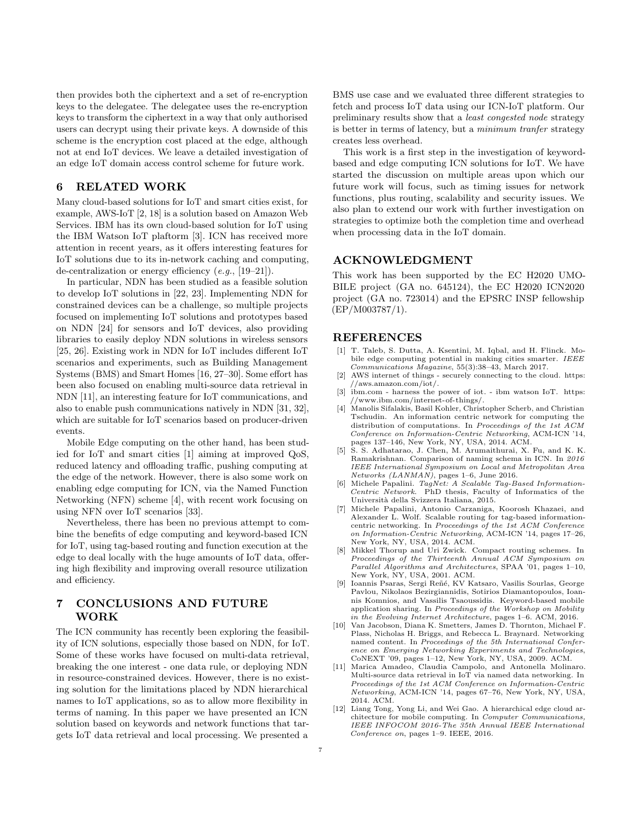then provides both the ciphertext and a set of re-encryption keys to the delegatee. The delegatee uses the re-encryption keys to transform the ciphertext in a way that only authorised users can decrypt using their private keys. A downside of this scheme is the encryption cost placed at the edge, although not at end IoT devices. We leave a detailed investigation of an edge IoT domain access control scheme for future work.

## <span id="page-7-5"></span>6 RELATED WORK

Many cloud-based solutions for IoT and smart cities exist, for example, AWS-IoT [\[2,](#page-7-1) [18\]](#page-8-5) is a solution based on Amazon Web Services. IBM has its own cloud-based solution for IoT using the IBM Watson IoT plaftorm [\[3\]](#page-7-2). ICN has received more attention in recent years, as it offers interesting features for IoT solutions due to its in-network caching and computing, de-centralization or energy efficiency  $(e.g., [19-21])$  $(e.g., [19-21])$  $(e.g., [19-21])$ .

In particular, NDN has been studied as a feasible solution to develop IoT solutions in [\[22,](#page-8-8) [23\]](#page-8-9). Implementing NDN for constrained devices can be a challenge, so multiple projects focused on implementing IoT solutions and prototypes based on NDN [\[24\]](#page-8-10) for sensors and IoT devices, also providing libraries to easily deploy NDN solutions in wireless sensors [\[25,](#page-8-11) [26\]](#page-8-12). Existing work in NDN for IoT includes different IoT scenarios and experiments, such as Building Management Systems (BMS) and Smart Homes [\[16,](#page-8-3) [27](#page-8-13)[–30\]](#page-8-14). Some effort has been also focused on enabling multi-source data retrieval in NDN [\[11\]](#page-7-12), an interesting feature for IoT communications, and also to enable push communications natively in NDN [\[31,](#page-8-15) [32\]](#page-8-16), which are suitable for IoT scenarios based on producer-driven events.

Mobile Edge computing on the other hand, has been studied for IoT and smart cities [\[1\]](#page-7-0) aiming at improved QoS, reduced latency and offloading traffic, pushing computing at the edge of the network. However, there is also some work on enabling edge computing for ICN, via the Named Function Networking (NFN) scheme [\[4\]](#page-7-3), with recent work focusing on using NFN over IoT scenarios [\[33\]](#page-8-17).

Nevertheless, there has been no previous attempt to combine the benefits of edge computing and keyword-based ICN for IoT, using tag-based routing and function execution at the edge to deal locally with the huge amounts of IoT data, offering high flexibility and improving overall resource utilization and efficiency.

# <span id="page-7-6"></span>7 CONCLUSIONS AND FUTURE WORK

The ICN community has recently been exploring the feasibility of ICN solutions, especially those based on NDN, for IoT. Some of these works have focused on multi-data retrieval, breaking the one interest - one data rule, or deploying NDN in resource-constrained devices. However, there is no existing solution for the limitations placed by NDN hierarchical names to IoT applications, so as to allow more flexibility in terms of naming. In this paper we have presented an ICN solution based on keywords and network functions that targets IoT data retrieval and local processing. We presented a

BMS use case and we evaluated three different strategies to fetch and process IoT data using our ICN-IoT platform. Our preliminary results show that a least congested node strategy is better in terms of latency, but a minimum tranfer strategy creates less overhead.

This work is a first step in the investigation of keywordbased and edge computing ICN solutions for IoT. We have started the discussion on multiple areas upon which our future work will focus, such as timing issues for network functions, plus routing, scalability and security issues. We also plan to extend our work with further investigation on strategies to optimize both the completion time and overhead when processing data in the IoT domain.

## ACKNOWLEDGMENT

This work has been supported by the EC H2020 UMO-BILE project (GA no. 645124), the EC H2020 ICN2020 project (GA no. 723014) and the EPSRC INSP fellowship (EP/M003787/1).

### REFERENCES

- <span id="page-7-0"></span>[1] T. Taleb, S. Dutta, A. Ksentini, M. Iqbal, and H. Flinck. Mobile edge computing potential in making cities smarter. IEEE Communications Magazine, 55(3):38–43, March 2017.
- <span id="page-7-1"></span>[2] AWS internet of things - securely connecting to the cloud. [https:](https://aws.amazon.com/iot/) [//aws.amazon.com/iot/.](https://aws.amazon.com/iot/)
- <span id="page-7-2"></span>[3] ibm.com - harness the power of iot. - ibm watson IoT. [https:](https://www.ibm.com/internet-of-things/) [//www.ibm.com/internet-of-things/.](https://www.ibm.com/internet-of-things/)
- <span id="page-7-3"></span>[4] Manolis Sifalakis, Basil Kohler, Christopher Scherb, and Christian Tschudin. An information centric network for computing the distribution of computations. In Proceedings of the 1st ACM Conference on Information-Centric Networking, ACM-ICN '14, pages 137–146, New York, NY, USA, 2014. ACM. [5] S. S. Adhatarao, J. Chen, M. Arumaithurai, X. Fu, and K. K.
- <span id="page-7-4"></span>Ramakrishnan. Comparison of naming schema in ICN. In 2016 IEEE International Symposium on Local and Metropolitan Area Networks (LANMAN), pages 1–6, June 2016.
- <span id="page-7-7"></span>[6] Michele Papalini.  $TagNet: A Scalable Tag-Based Information-$ Centric Network. PhD thesis, Faculty of Informatics of the Universit`a della Svizzera Italiana, 2015.
- <span id="page-7-8"></span>[7] Michele Papalini, Antonio Carzaniga, Koorosh Khazaei, and Alexander L. Wolf. Scalable routing for tag-based informationcentric networking. In Proceedings of the 1st ACM Conference on Information-Centric Networking, ACM-ICN '14, pages 17–26, New York, NY, USA, 2014. ACM.
- <span id="page-7-9"></span>[8] Mikkel Thorup and Uri Zwick. Compact routing schemes. In Proceedings of the Thirteenth Annual ACM Symposium on Parallel Algorithms and Architectures, SPAA '01, pages 1–10, New York, NY, USA, 2001. ACM.
- <span id="page-7-10"></span>Ioannis Psaras, Sergi Reñé, KV Katsaro, Vasilis Sourlas, George Pavlou, Nikolaos Bezirgiannidis, Sotirios Diamantopoulos, Ioannis Komnios, and Vassilis Tsaoussidis. Keyword-based mobile application sharing. In Proceedings of the Workshop on Mobility in the Evolving Internet Architecture, pages 1–6. ACM, 2016.
- <span id="page-7-11"></span>[10] Van Jacobson, Diana K. Smetters, James D. Thornton, Michael F. Plass, Nicholas H. Briggs, and Rebecca L. Braynard. Networking named content. In Proceedings of the 5th International Conference on Emerging Networking Experiments and Technologies, CoNEXT '09, pages 1–12, New York, NY, USA, 2009. ACM.
- <span id="page-7-12"></span>[11] Marica Amadeo, Claudia Campolo, and Antonella Molinaro. Multi-source data retrieval in IoT via named data networking. In Proceedings of the 1st ACM Conference on Information-Centric Networking, ACM-ICN '14, pages 67–76, New York, NY, USA, 2014. ACM.
- <span id="page-7-13"></span>[12] Liang Tong, Yong Li, and Wei Gao. A hierarchical edge cloud architecture for mobile computing. In Computer Communications, IEEE INFOCOM 2016-The 35th Annual IEEE International Conference on, pages 1–9. IEEE, 2016.